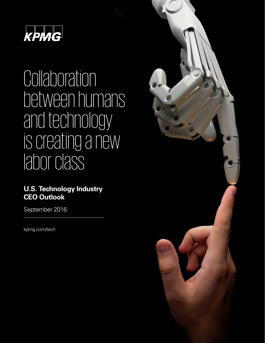

## **Collaboration** between humans and technology is creating a new labor class

### **U.S. Technology Industry CEO Outlook**

September 2016

[kpmg.com/tech](https://home.kpmg.com/us/en/home/insights/2016/06/fortune-brainstorm-tech-2016.html) 

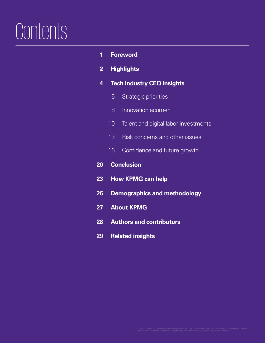# Contents

### **1 Foreword**

#### **2 Highlights**

#### **4 Tech industry CEO insights**

- 5 Strategic priorities
- $\overline{8}$ Innovation acumen
- 10 Talent and digital labor investments
- 13 Risk concerns and other issues
- 16 Confidence and future growth
- **20 Conclusion**
- **23 How KPMG can help**
- **26 Demographics and methodology**
- **27 About KPMG**
- **28 Authors and contributors**
- **29 29 Related insights**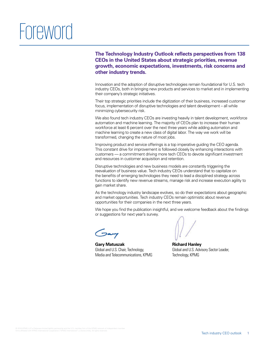# Foreword

**The Technology Industry Outlook reflects perspectives from 138 CEOs in the United States about strategic priorities, revenue growth, economic expectations, investments, risk concerns and other industry trends.** 

Innovation and the adoption of disruptive technologies remain foundational for U.S. tech industry CEOs, both in bringing new products and services to market and in implementing their company's strategic initiatives.

Their top strategic priorities include the digitization of their business, increased customer focus, implementation of disruptive technologies and talent development – all while minimizing cybersecurity risk.

We also found tech industry CEOs are investing heavily in talent development, workforce automation and machine learning. The majority of CEOs plan to increase their human workforce at least 6 percent over the next three years while adding automation and machine learning to create a new class of digital labor. The way we work will be transformed, changing the nature of most jobs.

Improving product and service offerings is a top imperative guiding the CEO agenda. This constant drive for improvement is followed closely by enhancing interactions with customers — a commitment driving more tech CEOs to devote significant investment and resources in customer acquisition and retention.

Disruptive technologies and new business models are constantly triggering the reevaluation of business value. Tech industry CEOs understand that to capitalize on the benefits of emerging technologies they need to lead a disciplined strategy across functions to identify new revenue streams, manage risk and increase execution agility to gain market share.

As the technology industry landscape evolves, so do their expectations about geographic and market opportunities. Tech industry CEOs remain optimistic about revenue opportunities for their companies in the next three years.

We hope you find the publication insightful, and we welcome feedback about the findings or suggestions for next year's survey.

Gary

**Gary Matuszak**  Global and U.S. Chair, Technology, Media and Telecommunications, KPMG

**Richard Hanley**  Global and U.S. Advisory Sector Leader, Technology, KPMG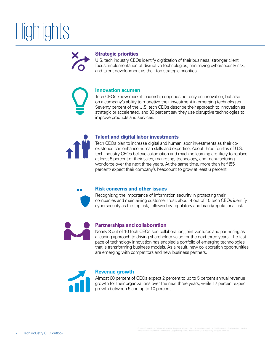# **Highlights**



### **Strategic priorities**

U.S. tech industry CEOs identify digitization of their business, stronger client focus, implementation of disruptive technologies, minimizing cybersecurity risk, and talent development as their top strategic priorities.



#### **Innovation acumen**

Tech CEOs know market leadership depends not only on innovation, but also on a company's ability to monetize their investment in emerging technologies. Seventy percent of the U.S. tech CEOs describe their approach to innovation as strategic or accelerated, and 80 percent say they use disruptive technologies to improve products and services.

#### **Talent and digital labor investments**

Tech CEOs plan to increase digital and human labor investments as their coexistence can enhance human skills and expertise. About three-fourths of U.S. tech industry CEOs believe automation and machine learning are likely to replace at least 5 percent of their sales, marketing, technology, and manufacturing workforce over the next three years. At the same time, more than half (55 percent) expect their company's headcount to grow at least 6 percent.



#### **Risk concerns and other issues**

Recognizing the importance of information security in protecting their companies and maintaining customer trust, about 4 out of 10 tech CEOs identify cybersecurity as the top risk, followed by regulatory and brand/reputational risk.



#### **Partnerships and collaboration**

Nearly 8 out of 10 tech CEOs see collaboration, joint ventures and partnering as a leading approach to driving shareholder value for the next three years. The fast pace of technology innovation has enabled a portfolio of emerging technologies that is transforming business models. As a result, new collaboration opportunities are emerging with competitors and new business partners.



#### **Revenue growth**

Almost 60 percent of CEOs expect 2 percent to up to 5 percent annual revenue growth for their organizations over the next three years, while 17 percent expect growth between 5 and up to 10 percent.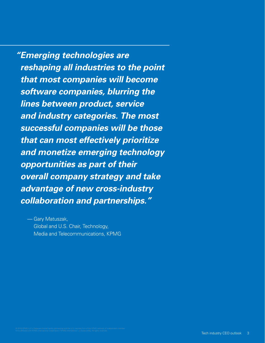*"Emerging technologies are reshaping all industries to the point that most companies will become software companies, blurring the lines between product, service and industry categories. The most successful companies will be those that can most effectively prioritize and monetize emerging technology opportunities as part of their overall company strategy and take advantage of new cross-industry collaboration and partnerships."* 

— Gary Matuszak, Global and U.S. Chair, Technology, Media and Telecommunications, KPMG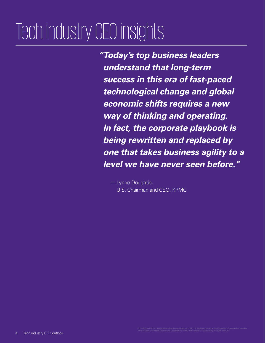# Tech industry CEO insights

*"Today's top business leaders understand that long-term success in this era of fast-paced technological change and global economic shifts requires a new way of thinking and operating. In fact, the corporate playbook is being rewritten and replaced by one that takes business agility to a level we have never seen before."* 

— Lynne Doughtie, U.S. Chairman and CEO, KPMG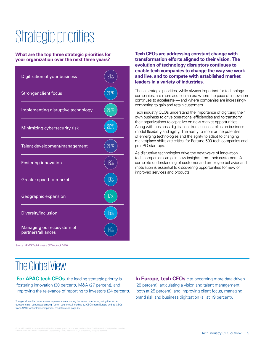## Strategic priorities

### **What are the top three strategic priorities for your organization over the next three years?**

| Digitization of your business                   | 21% |
|-------------------------------------------------|-----|
| <b>Stronger client focus</b>                    | 20% |
| Implementing disruptive technology              | 20% |
| Minimizing cybersecurity risk                   | 20% |
| Talent development/management                   | 20% |
| <b>Fostering innovation</b>                     | 18% |
| Greater speed-to-market                         | 18% |
| Geographic expansion                            | 17% |
| Diversity/inclusion                             | 15% |
| Managing our ecosystem of<br>partners/alliances | 14% |

**Tech CEOs are addressing constant change with transformation efforts aligned to their vision. The evolution of technology disruptors continues to enable tech companies to change the way we work and live, and to compete with established market leaders in a variety of industries.** 

These strategic priorities, while always important for technology companies, are more acute in an era where the pace of innovation continues to accelerate — and where companies are increasingly competing to gain and retain customers.

Tech industry CEOs understand the importance of digitizing their own business to drive operational efficiencies and to transform their organizations to capitalize on new market opportunities. Along with business digitization, true success relies on business model flexibility and agility. The ability to monitor the potential of emerging technologies and the agility to adapt to changing marketplace shifts are critical for Fortune 500 tech companies and pre-IPO start-ups.

As disruptive technologies drive the next wave of innovation, tech companies can gain new insights from their customers. A complete understanding of customer and employee behavior and motivation is essential to discovering opportunities for new or improved services and products.

Source: KPMG Tech industry CEO outlook 2016

### The Global View

**For APAC tech CEOs**, the leading strategic priority is fostering innovation (30 percent), M&A (27 percent), and improving the relevance of reporting to investors (24 percent).

The global results came from a separate survey, during the same timeframe, using the same questionnaire, conducted among "core" countries, including 32 CEOs from Europe and 33 CEOs from APAC technology companies, for details see page 25.

**In Europe, tech CEOs** cite becoming more data-driven (28 percent), articulating a vision and talent management (both at 25 percent), and improving client focus, managing brand risk and business digitization (all at 19 percent).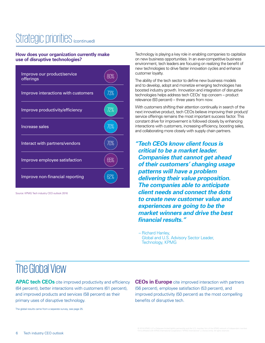### Strategic priorities (continued)

#### **How does your organization currently make use of disruptive technologies?**

| Improve our product/service<br>offerings | 80% |
|------------------------------------------|-----|
| Improve interactions with customers      | 73% |
| Improve productivity/efficiency          | 72% |
| Increase sales                           | 70% |
| Interact with partners/vendors           | 70% |
| Improve employee satisfaction            | 65% |
| Improve non-financial reporting          | 62% |

Source: KPMG Tech industry CEO outlook 2016

Technology is playing a key role in enabling companies to capitalize on new business opportunities. In an ever-competitive business environment, tech leaders are focusing on realizing the benefit of new technologies to drive faster innovation cycles and enhance customer loyalty.

The ability of the tech sector to define new business models and to develop, adopt and monetize emerging technologies has boosted industry growth. Innovation and integration of disruptive technologies helps address tech CEOs' top concern - product relevance (93 percent) - three years from now.

With customers shifting their attention continually in search of the next innovative product, tech CEOs believe improving their product/ service offerings remains the most important success factor. This constant drive for improvement is followed closely by enhancing interactions with customers, increasing efficiency, boosting sales, and collaborating more closely with supply chain partners.

*"Tech CEOs know client focus is critical to be a market leader. Companies that cannot get ahead of their customers' changing usage patterns will have a problem delivering their value proposition. The companies able to anticipate client needs and connect the dots to create new customer value and experiences are going to be the market winners and drive the best financial results."* 

– Richard Hanley, Global and U.S. Advisory Sector Leader, Technology, KPMG

### The Global View

(64 percent), better interactions with customers (61 percent), (56 percent), employee satisfaction (53 percent), and and improved products and services (58 percent) as their improved productivity (50 percent) as the most compelling primary uses of disruptive technology. benefits of disruptive tech.

**APAC tech CEOs** cite improved productivity and efficiency **CEOs in Europe** cite improved interaction with partners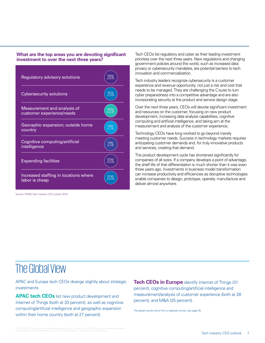

**What are the top areas you are devoting significant investment to over the next three years?** 

Source: KPMG Tech industry CEO outlook 2016

Tech CEOs list regulatory and cyber as their leading investment priorities over the next three years. New regulations and changing government policies around the world, such as increased data privacy or cybersecurity mandates, are potential barriers to tech innovation and commercialization.

Tech industry leaders recognize cybersecurity is a customer experience and revenue opportunity; not just a risk and cost that needs to be managed. They are challenging the C-suite to turn cyber preparedness into a competitive advantage and are also incorporating security at the product and service design stage.

Over the next three years, CEOs will devote significant investment and resources on the customer, focusing on new product development, increasing data analysis capabilities, cognitive computing and artificial intelligence, and taking aim at the measurement and analysis of the customer experience.

Technology CEOs have long worked to go beyond merely meeting customer needs. Success in technology markets requires anticipating customer demands and, for truly innovative products and services, creating that demand.

The product development cycle has shortened significantly for companies of all sizes. If a company develops a point of advantage, the shelf life of that differentiation is much shorter than it was even three years ago. Investments in business model transformation can increase productivity and efficiencies as disruptive technologies enable companies to design, prototype, operate, manufacture and deliver almost anywhere.

### The Global View

APAC and Europe tech CEOs diverge slightly about strategic investments.

**APAC tech CEOs** list new product development and Internet of Things (both at 33 percent), as well as cognitive computing/artificial intelligence and geographic expansion within their home country (both at 27 percent).

**Tech CEOs in Europe** identify Internet of Things (31) percent), cognitive computing/artificial intelligence and measurement/analysis of customer experience (both at 28 percent), and M&A (25 percent).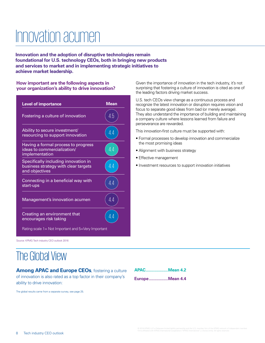## Innovation acumen

**Innovation and the adoption of disruptive technologies remain foundational for U.S. technology CEOs, both in bringing new products and services to market and in implementing strategic initiatives to achieve market leadership.** 

#### **How important are the following aspects in your organization's ability to drive innovation?**

| <b>Level of importance</b>                                                                     | <b>Mean</b> |  |
|------------------------------------------------------------------------------------------------|-------------|--|
| Fostering a culture of innovation                                                              | 4.5         |  |
| Ability to secure investment/<br>resourcing to support innovation                              | 4.4         |  |
| Having a formal process to progress<br>ideas to commercialization/<br>implementation           | 4.4         |  |
| Specifically including innovation in<br>business strategy with clear targets<br>and objectives | 4.4         |  |
| Connecting in a beneficial way with<br>start-ups                                               | 4.4         |  |
| Management's innovation acumen                                                                 | 4.4         |  |
| Creating an environment that<br>encourages risk taking                                         | 44          |  |
| Rating scale $1 = Not$ Important and $5 = Very$ Important                                      |             |  |
|                                                                                                |             |  |

Given the importance of innovation in the tech industry, it's not surprising that fostering a culture of innovation is cited as one of the leading factors driving market success.

U.S. tech CEOs view change as a continuous process and recognize the latest innovation or disruption requires vision and focus to separate good ideas from bad (or merely average). They also understand the importance of building and maintaining a company culture where lessons learned from failure and perseverance are rewarded.

This innovation-first culture must be supported with:

- Formal processes to develop innovation and commercialize the most promising ideas
- Alignment with business strategy
- Effective management
- Investment resources to support innovation initiatives

Source: KPMG Tech industry CEO outlook 2016

### The Global View

**Among APAC and Europe CEOs**, fostering a culture **APAC....................Mean 4.2**  of innovation is also rated as a top factor in their company's **Europe.................Mean 4.4** ability to drive innovation: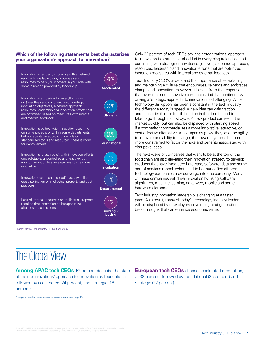



Source: KPMG Tech industry CEO outlook 2016

Only 22 percent of tech CEOs say their organizations' approach to innovation is strategic; embedded in everything (relentless and continual), with strategic innovation objectives, a defined approach, resources, leadership and innovation efforts that are optimized based on measures with internal and external feedback.

Tech Industry CEO's understand the importance of establishing and maintaining a culture that encourages, rewards and embraces change and innovation. However, it is clear from the responses, that even the most innovative companies find that continuously driving a 'strategic approach' to innovation is challenging. While technology disruption has been a constant in the tech industry, the difference today is speed. A new idea can gain traction and be into its third or fourth iteration in the time it used to take to go through its first cycle. A new product can reach the market quickly, but can also be displaced with startling speed if a competitor commercializes a more innovative, attractive, or cost-effective alternative. As companies grow, they lose the agility to innovate and ability to change; the reward systems become more constrained to factor the risks and benefits associated with disruptive ideas.

The next wave of companies that want to be at the top of the food chain are also elevating their innovation strategy to develop products that have integrated hardware, software, data and some sort of services model. What used to be four or five different technology companies may converge into one company. Many of these companies will drive innovation by using software algorithms, machine learning, data, web, mobile and some hardware elements.

Tech industry innovation leadership is changing at a faster pace. As a result, many of today's technology industry leaders will be displaced by new players developing next-generation breakthroughs that can enhance economic value.

### The Global View

**Among APAC tech CEOs**, 52 percent describe the state **European tech CEOs** choose accelerated most often, of their organizations' approach to innovation as foundational, at 38 percent, followed by foundational (25 percent) and followed by accelerated (24 percent) and strategic (18 strategic (22 percent). percent).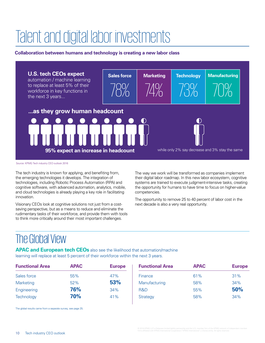## Talent and digital labor investments

**Collaboration between humans and technology is creating a new labor class** 



Source: KPMG Tech industry CEO outlook 2016

The tech industry is known for applying, and benefiting from, the emerging technologies it develops. The integration of technologies, including Robotic Process Automation (RPA) and cognitive software, with advanced automation, analytics, mobile, and cloud technologies is already playing a key role in facilitating innovation.

Visionary CEOs look at cognitive solutions not just from a costsaving perspective, but as a means to reduce and eliminate the rudimentary tasks of their workforce, and provide them with tools to think more critically around their most important challenges.

The way we work will be transformed as companies implement their digital labor roadmap. In this new labor ecosystem, cognitive systems are trained to execute judgment-intensive tasks, creating the opportunity for humans to have time to focus on higher-value competencies.

The opportunity to remove 25 to 40 percent of labor cost in the next decade is also a very real opportunity.

### The Global View

**APAC and European tech CEOs** also see the likelihood that automation/machine learning will replace at least 5 percent of their workforce within the next 3 years.

| <b>Functional Area</b> | <b>APAC</b> | <b>Europe</b> | <b>Functional Area</b> | <b>APAC</b> | <b>Europe</b> |
|------------------------|-------------|---------------|------------------------|-------------|---------------|
| Sales force            | 55%         | 47%           | Finance                | 61%         | 31%           |
| Marketing              | 52%         | 53%           | Manufacturing          | 58%         | 34%           |
| Engineering            | 76%         | 34%           | R&D                    | 55%         | 50%           |
| Technology             | 70%         | 41%           | Strategy               | 58%         | 34%           |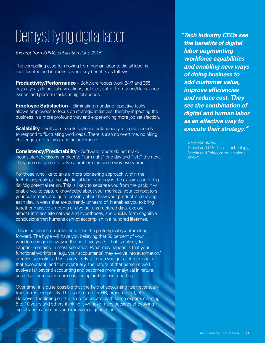## Demystifying digital labor

*Excerpt from KPMG publication June 2016* 

The compelling case for moving from human labor to digital labor is multifaceted and includes several key benefits as follows:

**Productivity/Performance** – Software robots work 24/7 and 365 days a year; do not take vacations, get sick, suffer from work/life balance issues; and perform tasks at digital speeds.

**Employee Satisfaction** – Eliminating mundane repetitive tasks allows employees to focus on strategic initiatives, thereby impacting the business in a more profound way and experiencing more job satisfaction.

**Scalability** – Software robots scale instantaneously at digital speeds to respond to fluctuating workloads. There is also no overtime, no hiring challenges, no training, and no severance.

**Consistency/Predictability** – Software robots do not make inconsistent decisions or elect to "turn right" one day and "left" the next. They are configured to solve a problem the same way every time.

For those who like to take a more pioneering approach within the technology realm, a holistic digital labor strategy is the classic case of big risk/big potential return. This is likely to separate you from the pack; it will enable you to capture knowledge about your markets, your competitors, your customers, and quite possibly about how your product is behaving each day, in ways that are currently unheard of. It enables you to bring together massive amounts of diverse, unstructured data, explore almost limitless alternatives and hypotheses, and quickly form cognitive conclusions that humans cannot accomplish in a hundred lifetimes.

This is not an incremental step—it is the prototypical quantum leap forward. The hype will have you believing that 50 percent of your workforce is going away in the next five years. That is unlikely to happen—certainly in most scenarios. What may happen is that your functional workforce (e.g., your accountants) may evolve into automation/ process specialists. This is very likely to mean you get a lot more out of that accountant, and that eventually, the nature of that person's work evolves far beyond accounting and becomes more analytical in nature, such that there is far more solutioning and far less reporting.

Over time, it is quite possible that the field of accounting itself eventually transforms completely. This is also true for HR, procurement, etc. However, the timing on this is up for debate, with some experts claiming 5 to 10 years and others thinking it will take many decades of evolving digital labor capabilities and knowledge generation.

© 2016 KPMG LLP, a Delaware limited liability partnership and the U.S. member finitiof the KPMG network of independent member

firms affiliated with KPMG International Cooperative ("KPMG International"), a Swiss entity. All rights reserved.

*"Tech industry CEOs see the benefits of digital labor augmenting workforce capabilities and enabling new ways of doing business to add customer value, improve efficiencies and reduce cost. They see the combination of digital and human labor as an effective way to execute their strategy."* 

Gary Matuszak, – Global and U.S. Chair, Technology, Media and Telecommunications, KPMG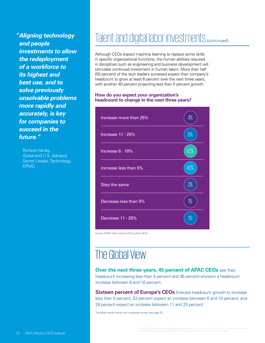*"Aligning technology and people investments to allow the redeployment of a workforce to its highest and best use, and to solve previously unsolvable problems more rapidly and accurately, is key for companies to succeed in the future."* 

– Richard Hanley, Global and U.S. Advisory Sector Leader, Technology, KPMG

### Talent and digital labor investments (continued)

Although CEOs expect machine learning to replace some skills in specific organizational functions, the human abilities required in disciplines such as engineering and business development will stimulate continued investment in human talent. More than half (55 percent) of the tech leaders surveyed expect their company's headcount to grow at least 6 percent over the next three years, with another 40 percent projecting less than 5 percent growth.

#### **How do you expect your organization's headcount to change in the next three years?**



Source: KPMG Tech industry CEO outlook 2016

### The Global View

**Over the next three years, 45 percent of APAC CEOs** see their headcount increasing less than 5 percent and 36 percent envision a headcount increase between 6 and 10 percent.

**Sixteen percent of Europe's CEOs** forecast headcount growth to increase less than 5 percent, 53 percent expect an increase between 6 and 10 percent, and 28 percent expect an increase between 11 and 25 percent.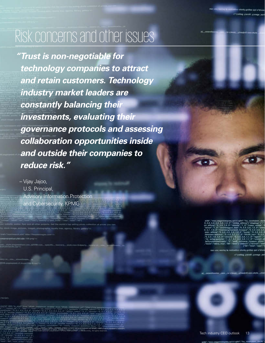## Risk concerns and other issues

*"Trust is non-negotiable for technology companies to attract and retain customers. Technology industry market leaders are constantly balancing their investments, evaluating their governance protocols and assessing collaboration opportunities inside and outside their companies to reduce risk."* 

– Vijay Jajoo, U.S. Principal, Advisory Information Protection and Cybersecurity, KPMG

© 2016 KPMG LLP, a Delaware limited liability partnership and the U.S. member firm of the KPMG network of independent member

firms affiliated with KPMG International Cooperative ("KPMG International"), a Swiss entity. All rights reserved.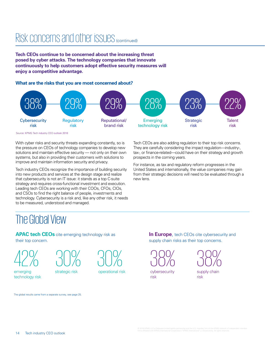### Risk concerns and other issues (continued)

**Tech CEOs continue to be concerned about the increasing threat posed by cyber attacks. The technology companies that innovate continuously to help customers adopt effective security measures will enjoy a competitive advantage.** 

#### **What are the risks that you are most concerned about?**



Source: KPMG Tech industry CEO outlook 2016

With cyber risks and security threats expanding constantly, so is the pressure on CEOs of technology companies to develop new solutions and maintain effective security — not only on their own systems, but also in providing their customers with solutions to improve and maintain information security and privacy.

Tech industry CEOs recognize the importance of building security into new products and services at the design stage and realize that cybersecurity is not an IT issue: it stands as a top C-suite strategy and requires cross-functional investment and execution. Leading tech CEOs are working with their COOs, CFOs, CIOs, and CSOs to find the right balance of people, investments and technology. Cybersecurity is a risk and, like any other risk, it needs to be measured, understood and managed.

Tech CEOs are also adding regulation to their top risk concerns. They are carefully considering the impact regulation—industry-, tax-, or finance-related—could have on their strategy and growth prospects in the coming years.

For instance, as tax and regulatory reform progresses in the United States and internationally, the value companies may gain from their strategic decisions will need to be evaluated through a new lens.

### The Global View

**APAC tech CEOs** cite emerging technology risk as

their top concern.



emerging technology risk

**In Europe**, tech CEOs cite cybersecurity and supply chain risks as their top concerns.



risk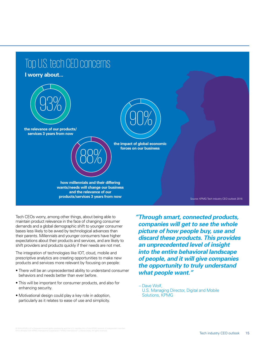

Tech CEOs worry, among other things, about being able to maintain product relevance in the face of changing consumer demands and a global demographic shift to younger consumer bases less likely to be awed by technological advances than their parents. Millennials and younger consumers have higher expectations about their products and services, and are likely to shift providers and products quickly if their needs are not met.

The integration of technologies like IOT, cloud, mobile and prescriptive analytics are creating opportunities to make new products and services more relevant by focusing on people:

- There will be an unprecedented ability to understand consumer behaviors and needs better than ever before.
- This will be important for consumer products, and also for enhancing security.
- Motivational design could play a key role in adoption, particularly as it relates to ease of use and simplicity.

*"Through smart, connected products, companies will get to see the whole picture of how people buy, use and discard these products. This provides an unprecedented level of insight into the entire behavioral landscape of people, and it will give companies the opportunity to truly understand what people want."* 

– Dave Wolf, U.S. Managing Director, Digital and Mobile Solutions, KPMG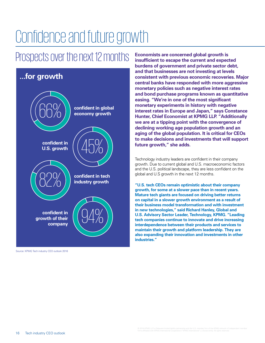## Confidence and future growth

### Prospects over the next 12 months



Source: KPMG Tech industry CEO outlook 2016

**Economists are concerned global growth is insufficient to escape the current and expected burdens of government and private sector debt, and that businesses are not investing at levels consistent with previous economic recoveries. Major central banks have responded with more aggressive monetary policies such as negative interest rates and bond purchase programs known as quantitative easing. "We're in one of the most significant monetary experiments in history with negative interest rates in Europe and Japan," says Constance Hunter, Chief Economist at KPMG LLP. "Additionally we are at a tipping point with the convergence of declining working age population growth and an aging of the global population. It is critical for CEOs to make decisions and investments that will support future growth," she adds.** 

 

Technology industry leaders are confident in their company growth. Due to current global and U.S. macroeconomic factors and the U.S. political landscape, they are less confident on the global and U.S growth in the next 12 months.

**"U.S. tech CEOs remain optimistic about their company growth, for some at a slower pace than in recent years. Mature tech giants are focused on driving better returns on capital in a slower growth environment as a result of their business model transformation and with investment in new technologies," said Richard Hanley, Global and U.S. Advisory Sector Leader, Technology, KPMG. "Leading tech companies continue to innovate and drive increasing interdependence between their products and services to maintain their growth and platform leadership. They are also expanding their innovation and investments in other industries."**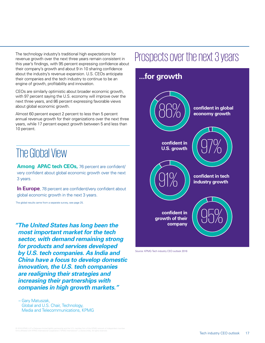The technology industry's traditional high expectations for revenue growth over the next three years remain consistent in this year's findings, with 95 percent expressing confidence about their company's growth and about 9 in 10 sharing confidence about the industry's revenue expansion. U.S. CEOs anticipate their companies and the tech industry to continue to be an engine of growth, profitability and innovation.

CEOs are similarly optimistic about broader economic growth, with 97 percent saying the U.S. economy will improve over the next three years, and 86 percent expressing favorable views about global economic growth.

Almost 60 percent expect 2 percent to less than 5 percent annual revenue growth for their organizations over the next three years, while 17 percent expect growth between 5 and less than 10 percent.

### The Global View

very confident about global economic growth over the next 3 years.

**In Europe**, 78 percent are confident/very confident about global economic growth in the next 3 years.

The global results came from a separate survey, see page 25.

*"The United States has long been the most important market for the tech sector, with demand remaining strong for products and services developed by U.S. tech companies. As India and China have a focus to develop domestic innovation, the U.S. tech companies are realigning their strategies and increasing their partnerships with companies in high growth markets."*  **Among APAC tech CEOs,** 76 percent are confident/<br>very confident about global economic growth over the next<br>3 years.<br> **In Europe**, 78 percent are confident/very confident about<br>global economic growth in the next 3 years.<br>

– Gary Matuszak, Global and U.S. Chair, Technology, Media and Telecommunications, KPMG

### Prospects over the next 3 years



Source: KPMG Tech industry CEO outlook 2016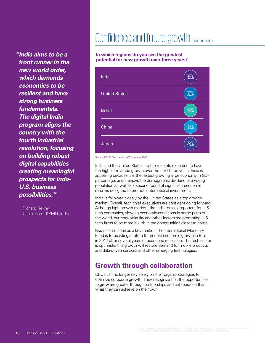*"India aims to be a front runner in the new world order, which demands economies to be resilient and have strong business fundamentals. The digital India program aligns the country with the fourth industrial revolution, focusing on building robust digital capabilities creating meaningful prospects for Indo-U.S. business possibilities."* 

Richard Rekhy, Chairman of KPMG, India

### Confidence and future growth (continued)

#### **In which regions do you see the greatest potential for new growth over three years?**



#### Source: KPMG Tech industry CEO outlook 2016

India and the United States are the markets expected to have the highest revenue growth over the next three years. India is appealing because it is the fastest-growing large economy in GDP percentage, and it enjoys the demographic dividend of a young population as well as a second round of significant economic reforms designed to promote international investment.

market. Overall, tech chief executives are confident going forward. India is followed closely by the United States as a top growth Although high-growth markets like India remain important for U.S. tech companies, slowing economic conditions in some parts of the world, currency volatility and other factors are prompting U.S. tech firms to be more bullish in the opportunities closer to home.

Brazil is also seen as a key market. The International Monetary Fund is forecasting a return to modest economic growth in Brazil in 2017 after several years of economic recession. The tech sector is optimistic this growth will restore demand for mobile products and data-driven services and other emerging technologies.

### **Growth through collaboration**

CEOs can no longer rely solely on their organic strategies to optimize corporate growth. They recognize that the opportunities to grow are greater through partnerships and collaboration than what they can achieve on their own.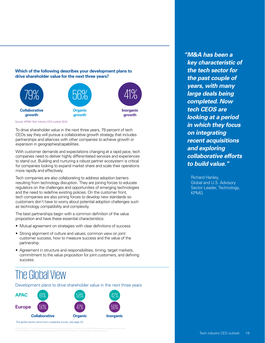**Which of the following describes your development plans to drive shareholder value for the next three years?** 



Source: KPMG Tech industry CEO outlook 2016

To drive shareholder value in the next three years, 79 percent of tech CEOs say they will pursue a collaborative growth strategy that includes partnerships and alliances with other companies to achieve growth or expansion in geographies/capabilities.

With customer demands and expectations changing at a rapid pace, tech companies need to deliver highly differentiated services and experiences to stand out. Building and nurturing a robust partner ecosystem is critical for companies looking to expand market share and scale their operations more rapidly and effectively.

Tech companies are also collaborating to address adoption barriers resulting from technology disruption. They are joining forces to educate regulators on the challenges and opportunities of emerging technologies and the need to redefine existing policies. On the customer front, tech companies are also joining forces to develop new standards so customers don't have to worry about potential adoption challenges such as technology compatibility and complexity.

The best partnerships begin with a common definition of the value proposition and have these essential characteristics:

- Mutual agreement on strategies with clear definitions of success.
- Strong alignment of culture and values; common view on joint customer success, how to measure success and the value of the partnership.
- Agreement in structure and responsibilities, timing, target markets, commitment to the value proposition for joint customers, and defining success.

### The Global View

Development plans to drive shareholder value in the next three years



The global results came from a separate survey, see page 25.

© 2016 KPMG LLP, a Delaware limited liability partnership and the U.S. member firm of the KPMG network of independent member firms affiliated with KPMG International Cooperative ("KPMG International"), a Swiss entity. All rights reserved.

*"M&A has been a key characteristic of the tech sector for the past couple of years, with many large deals being completed. Now tech CEOS are looking at a period in which they focus on integrating recent acquisitions and exploring collaborative efforts to build value."* 

Richard Hanley, – Global and U.S. Advisory Sector Leader, Technology, KPMG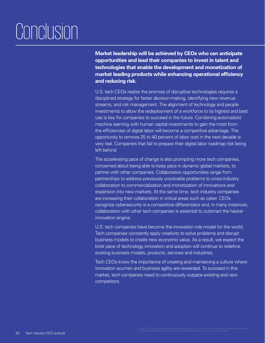# **Conclusion**

**Market leadership will be achieved by CEOs who can anticipate opportunities and lead their companies to invest in talent and technologies that enable the development and monetization of market leading products while enhancing operational efficiency and reducing risk.** 

U.S. tech CEOs realize the promise of disruptive technologies requires a disciplined strategy for faster decision-making, identifying new revenue streams, and risk management. The alignment of technology and people investments to allow the redeployment of a workforce to its highest and best use is key for companies to succeed in the future. Combining automation/ machine learning with human capital investments to gain the most from the efficiencies of digital labor will become a competitive advantage. The opportunity to remove 25 to 40 percent of labor cost in the next decade is very real. Companies that fail to prepare their digital labor roadmap risk being left behind.

The accelerating pace of change is also prompting more tech companies, concerned about being able to keep pace in dynamic global markets, to partner with other companies. Collaboration opportunities range from partnerships to address previously unsolvable problems to cross-industry collaboration to commercialization and monetization of innovations and expansion into new markets. At the same time, tech industry companies are increasing their collaboration in critical areas such as cyber. CEOs recognize cybersecurity is a competitive differentiator and, in many instances, collaboration with other tech companies is essential to outsmart the hacker innovation engine.

U.S. tech companies have become the innovation role model for the world. Tech companies constantly apply creativity to solve problems and disrupt business models to create new economic value. As a result, we expect the brisk pace of technology innovation and adoption will continue to redefine existing business models, products, services and industries.

Tech CEOs know the importance of creating and maintaining a culture where innovation acumen and business agility are rewarded. To succeed in this market, tech companies need to continuously outpace existing and new competitors.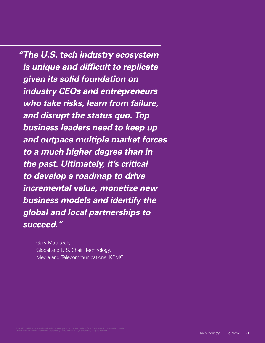*"The U.S. tech industry ecosystem is unique and difficult to replicate given its solid foundation on industry CEOs and entrepreneurs who take risks, learn from failure, and disrupt the status quo. Top business leaders need to keep up and outpace multiple market forces to a much higher degree than in the past. Ultimately, it's critical to develop a roadmap to drive incremental value, monetize new business models and identify the global and local partnerships to succeed."* 

— Gary Matuszak, Global and U.S. Chair, Technology, Media and Telecommunications, KPMG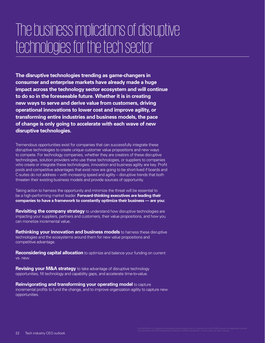## The business implications of disruptive technologies for the tech sector

**The disruptive technologies trending as game-changers in consumer and enterprise markets have already made a huge impact across the technology sector ecosystem and will continue to do so in the foreseeable future. Whether it is in creating new ways to serve and derive value from customers, driving operational innovations to lower cost and improve agility, or transforming entire industries and business models, the pace of change is only going to accelerate with each wave of new disruptive technologies.** 

Tremendous opportunities exist for companies that can successfully integrate these disruptive technologies to create unique customer value propositions and new ways to compete. For technology companies, whether they are creators of these disruptive technologies, solution providers who use these technologies, or suppliers to companies who create or integrate these technologies, innovation and business agility are key. Profit pools and competitive advantages that exist now are going to be short-lived if boards and C-suites do not address – with increasing speed and agility – disruptive trends that both threaten their existing business models and provide sources of opportunity.

Taking action to harness the opportunity and minimize the threat will be essential to be a high-performing market leader. **Forward-thinking executives are leading their companies to have a framework to constantly optimize their business — are you:** 

**Revisiting the company strategy** to understand how disruptive technologies are impacting your suppliers, partners and customers, their value propositions, and how you can monetize incremental value.

**Rethinking your innovation and business models** to harness these disruptive technologies and the ecosystems around them for new value propositions and competitive advantage.

**Reconsidering capital allocation** to optimize and balance your funding on current vs. new.

**Revising your M&A strategy** to take advantage of disruptive technology opportunities, fill technology and capability gaps, and accelerate time-to-value.

**Reinvigorating and transforming your operating model** to capture incremental profits to fund the change, and to improve organization agility to capture new opportunities.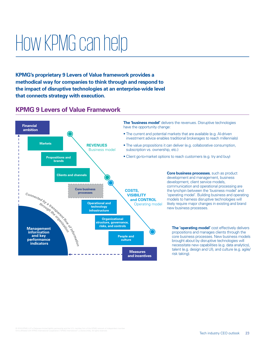# How KPMG can help

**KPMG's proprietary 9 Levers of Value framework provides a methodical way for companies to think through and respond to the impact of disruptive technologies at an enterprise-wide level that connects strategy with execution.** 

### **KPMG 9 Levers of Value Framework**

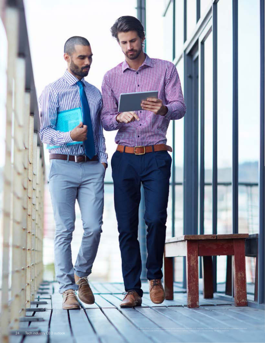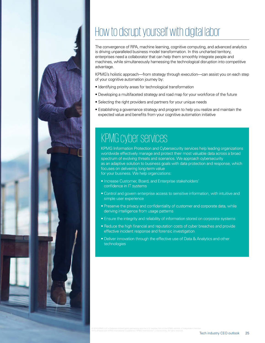

The convergence of RPA, machine learning, cognitive computing, and advanced analytics is driving unparalleled business model transformation. In this uncharted territory, enterprises need a collaborator that can help them smoothly integrate people and machines, while simultaneously harnessing the technological disruption into competitive advantage.

KPMG's holistic approach—from strategy through execution—can assist you on each step of your cognitive automation journey by:

- Identifying priority areas for technological transformation
- Developing a multifaceted strategy and road map for your workforce of the future
- Selecting the right providers and partners for your unique needs
- Establishing a governance strategy and program to help you realize and maintain the expected value and benefits from your cognitive automation initiative

### KPMG cyber services

KPMG Information Protection and Cybersecurity services help leading organizations worldwide effectively manage and protect their most valuable data across a broad spectrum of evolving threats and scenarios. We approach cybersecurity as an adaptive solution to business goals with data protection and response, which focuses on delivering long-term value for your business. We help organizations:

- Increase Customer, Board, and Enterprise stakeholders' confidence in IT systems
- Control and govern enterprise access to sensitive information, with intuitive and simple user experience
- Preserve the privacy and confidentiality of customer and corporate data, while deriving intelligence from usage patterns
- Ensure the integrity and reliability of information stored on corporate systems
- Reduce the high financial and reputation costs of cyber breaches and provide effective incident response and forensic investigation
- Deliver innovation through the effective use of Data & Analytics and other technologies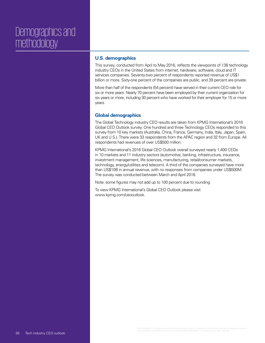### Demographics and methodology

#### **U.S. demographics**

This survey, conducted from April to May 2016, reflects the viewpoints of 138 technology industry CEOs in the United States from internet, hardware, software, cloud and IT services companies. Seventy-two percent of respondents reported revenue of US\$1 billion or more. Sixty-one percent of the companies are public, and 39 percent are private.

More than half of the respondents (54 percent) have served in their current CEO role for six or more years. Nearly 70 percent have been employed by their current organization for six years or more, including 30 percent who have worked for their employer for 15 or more years.

### **Global demographics**

The Global Technology industry CEO results are taken from KPMG International's 2016 Global CEO Outlook survey. One hundred and three Technology CEOs responded to this survey from 10 key markets (Australia, China, France, Germany, India, Italy, Japan, Spain, UK and U.S.). There were 33 respondents from the APAC region and 32 from Europe. All respondents had revenues of over US\$500 million.

KPMG International's 2016 Global CEO Outlook overall surveyed nearly 1,400 CEOs in 10 markets and 11 industry sectors (automotive, banking, infrastructure, insurance, investment management, life sciences, manufacturing, retail/consumer markets, technology, energy/utilities and telecom). A third of the companies surveyed have more than US\$10B in annual revenue, with no responses from companies under US\$500M. The survey was conducted between March and April 2016.

Note: some figures may not add up to 100 percent due to rounding.

To view KPMG International's Global CEO Outlook please visit www.kpmg.com/ceooutlook.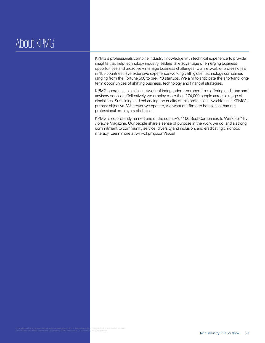### About KPMG

KPMG's professionals combine industry knowledge with technical experience to provide insights that help technology industry leaders take advantage of emerging business opportunities and proactively manage business challenges. Our network of professionals in 155 countries have extensive experience working with global technology companies ranging from the Fortune 500 to pre-IPO startups. We aim to anticipate the short-and longterm opportunities of shifting business, technology and financial strategies.

KPMG operates as a global network of independent member firms offering audit, tax and advisory services. Collectively we employ more than 174,000 people across a range of disciplines. Sustaining and enhancing the quality of this professional workforce is KPMG's primary objective. Wherever we operate, we want our firms to be no less than the professional employers of choice.

KPMG is consistently named one of the country's "100 Best Companies to Work For" by *Fortune* Magazine. Our people share a sense of purpose in the work we do, and a strong commitment to community service, diversity and inclusion, and eradicating childhood illiteracy. Learn more at www.kpmg.com/about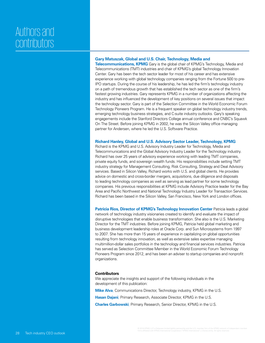### Authors and contributors

#### **Gary Matuszak, Global and U.S. Chair, Technology, Media and**

**Telecommunications, KPMG** Gary is the global chair of KPMG's Technology, Media and Telecommunications (TMT) industries and chair of KPMG's global Technology Innovation Center. Gary has been the tech sector leader for most of his career and has extensive experience working with global technology companies ranging from the Fortune 500 to pre-IPO startups. During the course of his leadership, he has led the firm's technology industry on a path of tremendous growth that has established the tech sector as one of the firm's fastest growing industries. Gary represents KPMG in a number of organizations affecting the industry and has influenced the development of key positions on several issues that impact the technology sector. Gary is part of the Selection Committee in the World Economic Forum Technology Pioneers Program. He is a frequent speaker on global technology industry trends, emerging technology business strategies, and C-suite industry outlooks. Gary's speaking engagements include the Stanford Directors College annual conference and CNBC's Squawk On The Street. Before joining KPMG in 2002, he was the Silicon Valley office managing partner for Andersen, where he led the U.S. Software Practice.

#### **Richard Hanley, Global and U.S. Advisory Sector Leader, Technology, KPMG**

Richard is the KPMG and U.S. Advisory Industry Leader for Technology, Media and Telecommunications and the Global Advisory Industry Leader for the Technology industry. Richard has over 25 years of advisory experience working with leading TMT companies, private equity funds, and sovereign wealth funds. His responsibilities include setting TMT industry strategy for Management Consulting, Risk Consulting, Strategy and Deal Advisory services. Based in Silicon Valley, Richard works with U.S. and global clients. He provides advice on domestic and cross-border mergers, acquisitions, due diligence and disposals to leading technology companies as well as serving as lead partner for some technology companies. His previous responsibilities at KPMG include Advisory Practice leader for the Bay Area and Pacific Northwest and National Technology Industry Leader for Transaction Services. Richard has been based in the Silicon Valley, San Francisco, New York and London offices.

**Patricia Rios, Director of KPMG's Technology Innovation Center** Patricia leads a global network of technology industry visionaries created to identify and evaluate the impact of disruptive technologies that enable business transformation. She also is the U.S. Marketing Director for the TMT industries. Before joining KPMG, Patricia held global marketing and business development leadership roles at Oracle Corp. and Sun Microsystems from 1997 to 2007. She has more than 15 years of experience in capitalizing on global opportunities resulting from technology innovation, as well as extensive sales expertise managing multimillion-dollar sales portfolios in the technology and financial services industries. Patricia has served as Selection Committee Member in the World Economic Forum Technology Pioneers Program since 2012, and has been an adviser to startup companies and nonprofit organizations.

#### **Contributors**

We appreciate the insights and support of the following individuals in the development of this publication:

**Mike Alva**, Communications Director, Technology industry, KPMG in the U.S.

**Hasan Dajani**, Primary Research, Associate Director, KPMG in the U.S.

**Charles Garbowski**, Primary Research, Senior Director, KPMG in the U.S.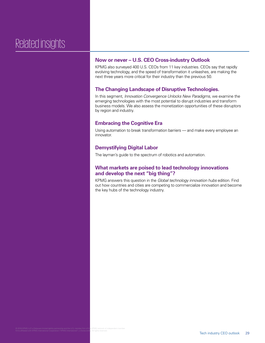### Related insights

### **[Now or never – U.S. CEO Cross-industry Outlook](https://assets.kpmg.com/content/dam/kpmg/pdf/2016/07/2016-ceo-survey.pdf)**

KPMG also surveyed 400 U.S. CEOs from 11 key industries. CEOs say that rapidly evolving technology, and the speed of transformation it unleashes, are making the next three years more critical for their industry than the previous 50.

### **[The Changing Landscape of Disruptive Technologies.](https://techinnovation.kpmg.chaordix.com/static/docs/TechInnovation2015-Part2.pdf)**

In this segment, *Innovation Convergence Unlocks New Paradigms*, we examine the emerging technologies with the most potential to disrupt industries and transform business models. We also assess the monetization opportunities of these disruptors by region and industry.

### **[Embracing the Cognitive Era](http://www.kpmg-institutes.com/content/dam/kpmg/advisory-institute/pdf/2016/embracing-cognitive-era.pdf)**

Using automation to break transformation barriers — and make every employee an innovator.

### **[Demystifying Digital Labor](http://www.kpmg-institutes.com/content/dam/kpmg/advisory-institute/pdf/2016/demistifying-digital-labor.pdf)**

The layman's guide to the spectrum of robotics and automation.

### **[What markets are poised to lead technology innovations](https://techinnovation.kpmg.chaordix.com/static/docs/TechInnovation2015-Part1.pdf)  and develop the next "big thing"?**

KPMG answers this question in the *Global technology innovation hubs* edition. Find out how countries and cities are competing to commercialize innovation and become the key hubs of the technology industry.